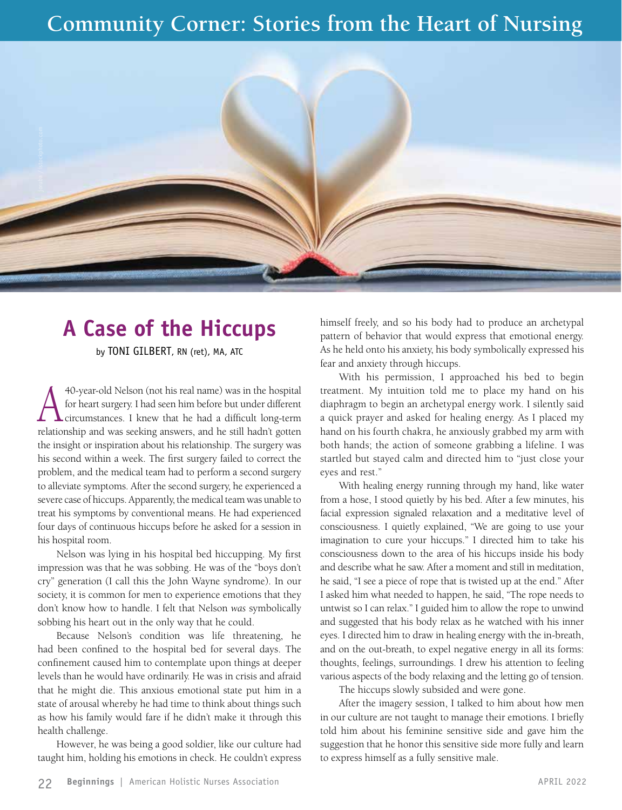## **Community Corner: Stories from the Heart of Nursing**



## **A Case of the Hiccups**

by TONI GILBERT, RN (ret), MA, ATC

40-year-old Nelson (not his real name) was in the hospital<br>for heart surgery. I had seen him before but under different<br>circumstances. I knew that he had a difficult long-term<br>makingahin and was saaling answers, and he sti for heart surgery. I had seen him before but under different circumstances. I knew that he had a difficult long-term relationship and was seeking answers, and he still hadn't gotten the insight or inspiration about his relationship. The surgery was his second within a week. The first surgery failed to correct the problem, and the medical team had to perform a second surgery to alleviate symptoms. After the second surgery, he experienced a severe case of hiccups. Apparently, the medical team was unable to treat his symptoms by conventional means. He had experienced four days of continuous hiccups before he asked for a session in his hospital room.

Nelson was lying in his hospital bed hiccupping. My first impression was that he was sobbing. He was of the "boys don't cry" generation (I call this the John Wayne syndrome). In our society, it is common for men to experience emotions that they don't know how to handle. I felt that Nelson *was* symbolically sobbing his heart out in the only way that he could.

Because Nelson's condition was life threatening, he had been confined to the hospital bed for several days. The confinement caused him to contemplate upon things at deeper levels than he would have ordinarily. He was in crisis and afraid that he might die. This anxious emotional state put him in a state of arousal whereby he had time to think about things such as how his family would fare if he didn't make it through this health challenge.

However, he was being a good soldier, like our culture had taught him, holding his emotions in check. He couldn't express himself freely, and so his body had to produce an archetypal pattern of behavior that would express that emotional energy. As he held onto his anxiety, his body symbolically expressed his fear and anxiety through hiccups.

With his permission, I approached his bed to begin treatment. My intuition told me to place my hand on his diaphragm to begin an archetypal energy work. I silently said a quick prayer and asked for healing energy. As I placed my hand on his fourth chakra, he anxiously grabbed my arm with both hands; the action of someone grabbing a lifeline. I was startled but stayed calm and directed him to "just close your eyes and rest."

With healing energy running through my hand, like water from a hose, I stood quietly by his bed. After a few minutes, his facial expression signaled relaxation and a meditative level of consciousness. I quietly explained, "We are going to use your imagination to cure your hiccups." I directed him to take his consciousness down to the area of his hiccups inside his body and describe what he saw. After a moment and still in meditation, he said, "I see a piece of rope that is twisted up at the end." After I asked him what needed to happen, he said, "The rope needs to untwist so I can relax." I guided him to allow the rope to unwind and suggested that his body relax as he watched with his inner eyes. I directed him to draw in healing energy with the in-breath, and on the out-breath, to expel negative energy in all its forms: thoughts, feelings, surroundings. I drew his attention to feeling various aspects of the body relaxing and the letting go of tension.

The hiccups slowly subsided and were gone.

After the imagery session, I talked to him about how men in our culture are not taught to manage their emotions. I briefly told him about his feminine sensitive side and gave him the suggestion that he honor this sensitive side more fully and learn to express himself as a fully sensitive male.